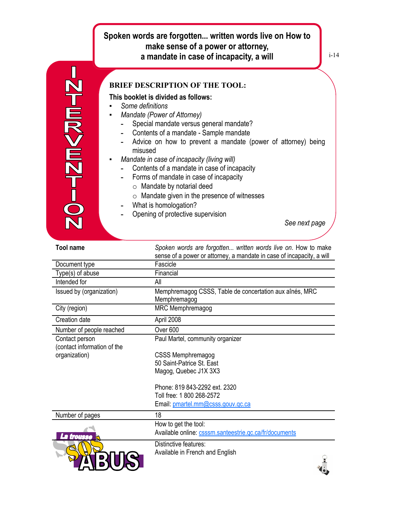## **Spoken words are forgotten... written words live on How to make sense of a power or attorney, a mandate in case of incapacity, a will**



## **BRIEF DESCRIPTION OF THE TOOL:**

## **This booklet is divided as follows:**

- *Some definitions*
- **Mandate (Power of Attorney)** 
	- **-** Special mandate versus general mandate?
	- **-** Contents of a mandate Sample mandate
	- **-** Advice on how to prevent a mandate (power of attorney) being misused
- *Mandate in case of incapacity (living will)*
	- **-** Contents of a mandate in case of incapacity
	- **-** Forms of mandate in case of incapacity
		- o Mandate by notarial deed
		- $\circ$  Mandate given in the presence of witnesses
	- **-** What is homologation?
	- **-** Opening of protective supervision

*See next page*

i-14

| <b>Tool name</b>                              | Spoken words are forgotten written words live on. How to make<br>sense of a power or attorney, a mandate in case of incapacity, a will |
|-----------------------------------------------|----------------------------------------------------------------------------------------------------------------------------------------|
| Document type                                 | Fascicle                                                                                                                               |
| Type(s) of abuse                              | Financial                                                                                                                              |
| Intended for                                  | All                                                                                                                                    |
| Issued by (organization)                      | Memphremagog CSSS, Table de concertation aux aînés, MRC<br>Memphremagog                                                                |
| City (region)                                 | MRC Memphremagog                                                                                                                       |
| Creation date                                 | April 2008                                                                                                                             |
| Number of people reached                      | Over <sub>600</sub>                                                                                                                    |
| Contact person<br>(contact information of the | Paul Martel, community organizer                                                                                                       |
| organization)                                 | <b>CSSS Memphremagog</b>                                                                                                               |
|                                               | 50 Saint-Patrice St. East                                                                                                              |
|                                               | Magog, Quebec J1X 3X3                                                                                                                  |
|                                               | Phone: 819 843-2292 ext. 2320                                                                                                          |
|                                               | Toll free: 1 800 268-2572                                                                                                              |
|                                               | Email: pmartel.mm@csss.gouv.gc.ca                                                                                                      |
| Number of pages                               | 18                                                                                                                                     |
|                                               | How to get the tool:                                                                                                                   |
| troueea                                       | Available online: csssm.santeestrie.qc.ca/fr/documents                                                                                 |
|                                               | Distinctive features:                                                                                                                  |
|                                               | Available in French and English                                                                                                        |
|                                               |                                                                                                                                        |